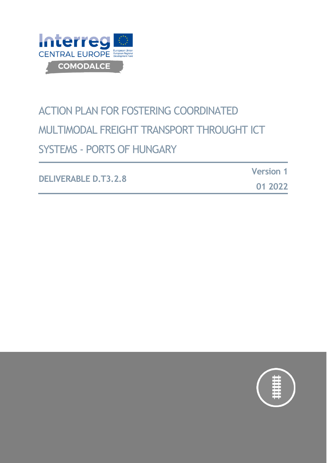

# ACTION PLAN FOR FOSTERING COORDINATED MULTIMODAL FREIGHT TRANSPORT THROUGHT ICT SYSTEMS - PORTS OF HUNGARY

**DELIVERABLE D.T3.2.8**

**Version 1**

**01 2022**

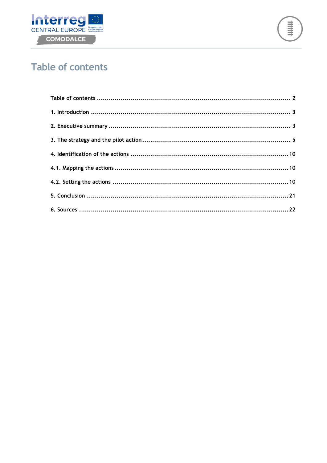



# <span id="page-1-0"></span>**Table of contents**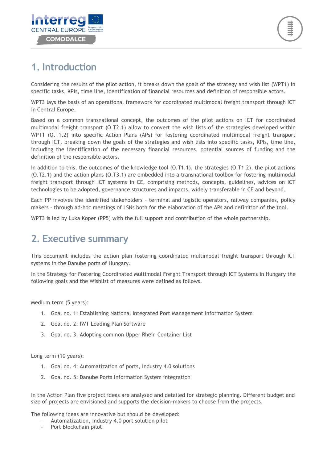

### <span id="page-2-0"></span>**1. Introduction**

Considering the results of the pilot action, it breaks down the goals of the strategy and wish list (WPT1) in specific tasks, KPIs, time line, identification of financial resources and definition of responsible actors.

WPT3 lays the basis of an operational framework for coordinated multimodal freight transport through ICT in Central Europe.

Based on a common transnational concept, the outcomes of the pilot actions on ICT for coordinated multimodal freight transport (O.T2.1) allow to convert the wish lists of the strategies developed within WPT1 (O.T1.2) into specific Action Plans (APs) for fostering coordinated multimodal freight transport through ICT, breaking down the goals of the strategies and wish lists into specific tasks, KPIs, time line, including the identification of the necessary financial resources, potential sources of funding and the definition of the responsible actors.

In addition to this, the outcomes of the knowledge tool (O.T1.1), the strategies (O.T1.2), the pilot actions (O.T2.1) and the action plans (O.T3.1) are embedded into a transnational toolbox for fostering multimodal freight transport through ICT systems in CE, comprising methods, concepts, guidelines, advices on ICT technologies to be adopted, governance structures and impacts, widely transferable in CE and beyond.

Each PP involves the identified stakeholders – terminal and logistic operators, railway companies, policy makers – through ad-hoc meetings of LSNs both for the elaboration of the APs and definition of the tool.

WPT3 is led by Luka Koper (PP5) with the full support and contribution of the whole partnership.

### <span id="page-2-1"></span>**2. Executive summary**

This document includes the action plan fostering coordinated multimodal freight transport through ICT systems in the Danube ports of Hungary.

In the Strategy for Fostering Coordinated Multimodal Freight Transport through ICT Systems in Hungary the following goals and the Wishlist of measures were defined as follows.

Medium term (5 years):

- 1. Goal no. 1: Establishing National Integrated Port Management Information System
- 2. Goal no. 2: IWT Loading Plan Software
- 3. Goal no. 3: Adopting common Upper Rhein Container List

Long term (10 years):

- 1. Goal no. 4: Automatization of ports, Industry 4.0 solutions
- 2. Goal no. 5: Danube Ports Information System integration

In the Action Plan five project ideas are analysed and detailed for strategic planning. Different budget and size of projects are envisioned and supports the decision-makers to choose from the projects.

The following ideas are innovative but should be developed:

- Automatization, Industry 4.0 port solution pilot
- Port Blockchain pilot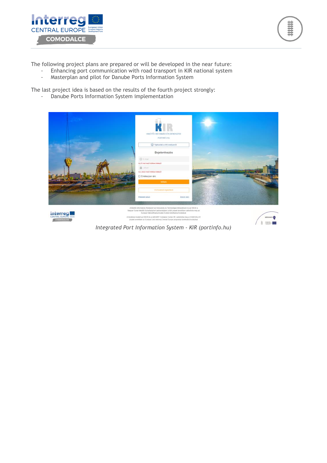



The following project plans are prepared or will be developed in the near future:

- Enhancing port communication with road transport in KIR national system
- Masterplan and pilot for Danube Ports Information System

The last project idea is based on the results of the fourth project strongly:

- Danube Ports Information System implementation



*Integrated Port Information System - KIR (portinfo.hu)*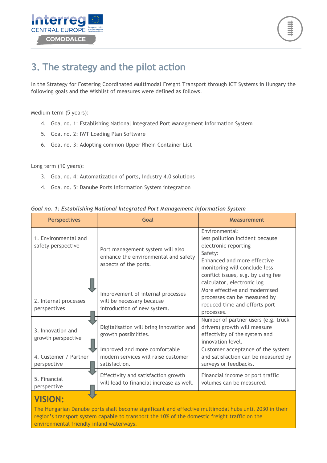



# <span id="page-4-0"></span>**3. The strategy and the pilot action**

In the Strategy for Fostering Coordinated Multimodal Freight Transport through ICT Systems in Hungary the following goals and the Wishlist of measures were defined as follows.

Medium term (5 years):

- 4. Goal no. 1: Establishing National Integrated Port Management Information System
- 5. Goal no. 2: IWT Loading Plan Software
- 6. Goal no. 3: Adopting common Upper Rhein Container List

Long term (10 years):

- 3. Goal no. 4: Automatization of ports, Industry 4.0 solutions
- 4. Goal no. 5: Danube Ports Information System integration

| <b>Perspectives</b>                        | Goal                                                                                              | <b>Measurement</b>                                                                                                                                                                                                       |
|--------------------------------------------|---------------------------------------------------------------------------------------------------|--------------------------------------------------------------------------------------------------------------------------------------------------------------------------------------------------------------------------|
| 1. Environmental and<br>safety perspective | Port management system will also<br>enhance the environmental and safety<br>aspects of the ports. | Environmental:<br>less pollution incident because<br>electronic reporting<br>Safety:<br>Enhanced and more effective<br>monitoring will conclude less<br>conflict issues, e.g. by using fee<br>calculator, electronic log |
| 2. Internal processes<br>perspectives      | Improvement of internal processes<br>will be necessary because<br>introduction of new system.     | More effective and modernised<br>processes can be measured by<br>reduced time and efforts port<br>processes.                                                                                                             |
| 3. Innovation and<br>growth perspective    | Digitalisation will bring innovation and<br>growth possibilities.                                 | Number of partner users (e.g. truck<br>drivers) growth will measure<br>effectivity of the system and<br>innovation level.                                                                                                |
| 4. Customer / Partner<br>perspective       | Improved and more comfortable<br>modern services will raise customer<br>satisfaction.             | Customer acceptance of the system<br>and satisfaction can be measured by<br>surveys or feedbacks.                                                                                                                        |
| 5. Financial<br>perspective                | Effectivity and satisfaction growth<br>will lead to financial increase as well.                   | Financial income or port traffic<br>volumes can be measured.                                                                                                                                                             |

*Goal no. 1: Establishing National Integrated Port Management Information System*

### **VISION:**

The Hungarian Danube ports shall become significant and effective multimodal hubs until 2030 in their region's transport system capable to transport the 10% of the domestic freight traffic on the environmental friendly inland waterways.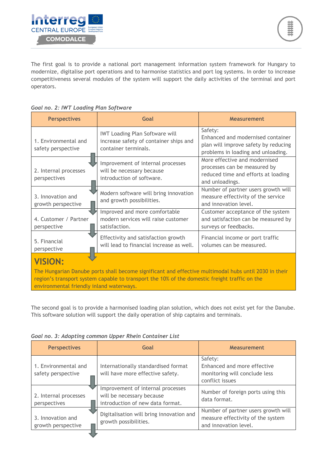

The first goal is to provide a national port management information system framework for Hungary to modernize, digitalise port operations and to harmonise statistics and port log systems. In order to increase competitiveness several modules of the system will support the daily activities of the terminal and port operators.

#### *Goal no. 2: IWT Loading Plan Software*

| Goal                                                                                                                                                                                                                                                                 | <b>Measurement</b>                                                                                                         |  |  |  |  |
|----------------------------------------------------------------------------------------------------------------------------------------------------------------------------------------------------------------------------------------------------------------------|----------------------------------------------------------------------------------------------------------------------------|--|--|--|--|
| <b>IWT Loading Plan Software will</b><br>increase safety of container ships and<br>container terminals.                                                                                                                                                              | Safety:<br>Enhanced and modernised container<br>plan will improve safety by reducing<br>problems in loading and unloading. |  |  |  |  |
| Improvement of internal processes<br>will be necessary because<br>introduction of software.                                                                                                                                                                          | More effective and modernised<br>processes can be measured by<br>reduced time and efforts at loading<br>and unloadings.    |  |  |  |  |
| Modern software will bring innovation<br>and growth possibilities.                                                                                                                                                                                                   | Number of partner users growth will<br>measure effectivity of the service<br>and innovation level.                         |  |  |  |  |
| Improved and more comfortable<br>modern services will raise customer<br>satisfaction.                                                                                                                                                                                | Customer acceptance of the system<br>and satisfaction can be measured by<br>surveys or feedbacks.                          |  |  |  |  |
| Effectivity and satisfaction growth<br>will lead to financial increase as well.                                                                                                                                                                                      | Financial income or port traffic<br>volumes can be measured.                                                               |  |  |  |  |
| <b>VISION:</b><br>The Hungarian Danube ports shall become significant and effective multimodal hubs until 2030 in their<br>region's transport system capable to transport the 10% of the domestic freight traffic on the<br>environmental friendly inland waterways. |                                                                                                                            |  |  |  |  |
|                                                                                                                                                                                                                                                                      |                                                                                                                            |  |  |  |  |

The second goal is to provide a harmonised loading plan solution, which does not exist yet for the Danube. This software solution will support the daily operation of ship captains and terminals.

|  |  |  | Goal no. 3: Adopting common Upper Rhein Container List |  |
|--|--|--|--------------------------------------------------------|--|
|  |  |  |                                                        |  |

| <b>Perspectives</b>                        | Goal                                                                                               | <b>Measurement</b>                                                                                |
|--------------------------------------------|----------------------------------------------------------------------------------------------------|---------------------------------------------------------------------------------------------------|
| 1. Environmental and<br>safety perspective | Internationally standardised format<br>will have more effective safety.                            | Safety:<br>Enhanced and more effective<br>monitoring will conclude less<br>conflict issues        |
| 2. Internal processes<br>perspectives      | Improvement of internal processes<br>will be necessary because<br>introduction of new data format. | Number of foreign ports using this<br>data format.                                                |
| 3. Innovation and<br>growth perspective    | Digitalisation will bring innovation and<br>growth possibilities.                                  | Number of partner users growth will<br>measure effectivity of the system<br>and innovation level. |
|                                            |                                                                                                    |                                                                                                   |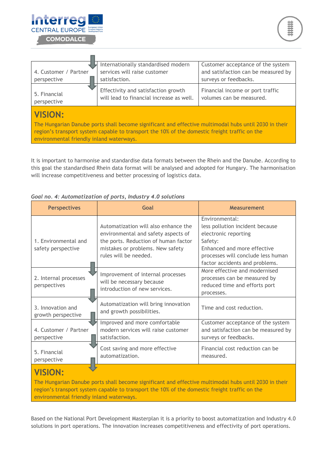

m

| 4. Customer / Partner<br>perspective                                                                                                                                                                                                                                 | Internationally standardised modern<br>services will raise customer<br>satisfaction. | Customer acceptance of the system<br>and satisfaction can be measured by<br>surveys or feedbacks. |  |  |  |  |  |
|----------------------------------------------------------------------------------------------------------------------------------------------------------------------------------------------------------------------------------------------------------------------|--------------------------------------------------------------------------------------|---------------------------------------------------------------------------------------------------|--|--|--|--|--|
| 5. Financial<br>perspective                                                                                                                                                                                                                                          | Effectivity and satisfaction growth<br>will lead to financial increase as well.      | Financial income or port traffic<br>volumes can be measured.                                      |  |  |  |  |  |
| <b>VISION:</b><br>The Hungarian Danube ports shall become significant and effective multimodal hubs until 2030 in their<br>region's transport system capable to transport the 10% of the domestic freight traffic on the<br>environmental friendly inland waterways. |                                                                                      |                                                                                                   |  |  |  |  |  |

It is important to harmonise and standardise data formats between the Rhein and the Danube. According to this goal the standardised Rhein data format will be analysed and adopted for Hungary. The harmonisation will increase competitiveness and better processing of logistics data.

| <b>Perspectives</b>                        | Goal                                                                                                                                                                             | <b>Measurement</b>                                                                                                                                                                          |
|--------------------------------------------|----------------------------------------------------------------------------------------------------------------------------------------------------------------------------------|---------------------------------------------------------------------------------------------------------------------------------------------------------------------------------------------|
| 1. Environmental and<br>safety perspective | Automatization will also enhance the<br>environmental and safety aspects of<br>the ports. Reduction of human factor<br>mistakes or problems. New safety<br>rules will be needed. | Environmental:<br>less pollution incident because<br>electronic reporting<br>Safety:<br>Enhanced and more effective<br>processes will conclude less human<br>factor accidents and problems. |
| 2. Internal processes<br>perspectives      | Improvement of internal processes<br>will be necessary because<br>introduction of new services.                                                                                  | More effective and modernised<br>processes can be measured by<br>reduced time and efforts port<br>processes.                                                                                |
| 3. Innovation and<br>growth perspective    | Automatization will bring innovation<br>and growth possibilities.                                                                                                                | Time and cost reduction.                                                                                                                                                                    |
| 4. Customer / Partner<br>perspective       | Improved and more comfortable<br>modern services will raise customer<br>satisfaction.                                                                                            | Customer acceptance of the system<br>and satisfaction can be measured by<br>surveys or feedbacks.                                                                                           |
| 5. Financial<br>perspective                | Cost saving and more effective<br>automatization.                                                                                                                                | Financial cost reduction can be<br>measured.                                                                                                                                                |
| <b>STRATES</b>                             |                                                                                                                                                                                  |                                                                                                                                                                                             |

*Goal no. 4: Automatization of ports, Industry 4.0 solutions*

### **VISION:**

The Hungarian Danube ports shall become significant and effective multimodal hubs until 2030 in their region's transport system capable to transport the 10% of the domestic freight traffic on the environmental friendly inland waterways.

Based on the National Port Development Masterplan it is a priority to boost automatization and Industry 4.0 solutions in port operations. The innovation increases competitiveness and effectivity of port operations.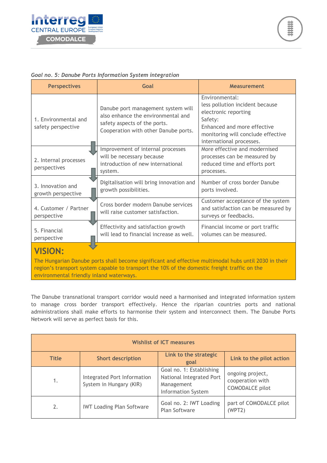

#### *Goal no. 5: Danube Ports Information System integration*

| <b>Perspectives</b>                                                                                                                                                                                                                                                  | Goal                                                                                                                                             | <b>Measurement</b>                                                                                                                                                                    |  |  |  |
|----------------------------------------------------------------------------------------------------------------------------------------------------------------------------------------------------------------------------------------------------------------------|--------------------------------------------------------------------------------------------------------------------------------------------------|---------------------------------------------------------------------------------------------------------------------------------------------------------------------------------------|--|--|--|
| 1. Environmental and<br>safety perspective                                                                                                                                                                                                                           | Danube port management system will<br>also enhance the environmental and<br>safety aspects of the ports.<br>Cooperation with other Danube ports. | Environmental:<br>less pollution incident because<br>electronic reporting<br>Safety:<br>Enhanced and more effective<br>monitoring will conclude effective<br>international processes. |  |  |  |
| 2. Internal processes<br>perspectives                                                                                                                                                                                                                                | Improvement of internal processes<br>will be necessary because<br>introduction of new international<br>system.                                   | More effective and modernised<br>processes can be measured by<br>reduced time and efforts port<br>processes.                                                                          |  |  |  |
| 3. Innovation and<br>growth perspective                                                                                                                                                                                                                              | Digitalisation will bring innovation and<br>growth possibilities.                                                                                | Number of cross border Danube<br>ports involved.                                                                                                                                      |  |  |  |
| 4. Customer / Partner<br>perspective                                                                                                                                                                                                                                 | Cross border modern Danube services<br>will raise customer satisfaction.                                                                         | Customer acceptance of the system<br>and satisfaction can be measured by<br>surveys or feedbacks.                                                                                     |  |  |  |
| 5. Financial<br>perspective                                                                                                                                                                                                                                          | Effectivity and satisfaction growth<br>will lead to financial increase as well.                                                                  | Financial income or port traffic<br>volumes can be measured.                                                                                                                          |  |  |  |
| <b>VISION:</b><br>The Hungarian Danube ports shall become significant and effective multimodal hubs until 2030 in their<br>region's transport system capable to transport the 10% of the domestic freight traffic on the<br>environmental friendly inland waterways. |                                                                                                                                                  |                                                                                                                                                                                       |  |  |  |

The Danube transnational transport corridor would need a harmonised and integrated information system to manage cross border transport effectively. Hence the riparian countries ports and national administrations shall make efforts to harmonise their system and interconnect them. The Danube Ports Network will serve as perfect basis for this.

| <b>Wishlist of ICT measures</b> |                                                        |                                                                                          |                                                                |  |  |  |  |
|---------------------------------|--------------------------------------------------------|------------------------------------------------------------------------------------------|----------------------------------------------------------------|--|--|--|--|
| <b>Title</b>                    | <b>Short description</b>                               | Link to the strategic<br>goal                                                            | Link to the pilot action                                       |  |  |  |  |
| 1.                              | Integrated Port Information<br>System in Hungary (KIR) | Goal no. 1: Establishing<br>National Integrated Port<br>Management<br>Information System | ongoing project,<br>cooperation with<br><b>COMODALCE</b> pilot |  |  |  |  |
| 2.                              | <b>IWT Loading Plan Software</b>                       | Goal no. 2: IWT Loading<br>Plan Software                                                 | part of COMODALCE pilot<br>(WPT2)                              |  |  |  |  |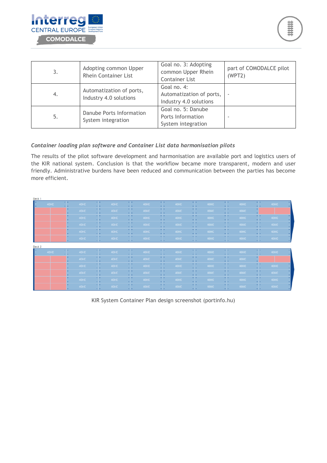

| 3.  | Adopting common Upper<br><b>Rhein Container List</b> | Goal no. 3: Adopting<br>common Upper Rhein<br><b>Container List</b> | part of COMODALCE pilot<br>(WPT2) |
|-----|------------------------------------------------------|---------------------------------------------------------------------|-----------------------------------|
| -4. | Automatization of ports,<br>Industry 4.0 solutions   | Goal no. 4:<br>Automatization of ports,<br>Industry 4.0 solutions   |                                   |
| 5.  | Danube Ports Information<br>System integration       | Goal no. 5: Danube<br>Ports Information<br>System integration       |                                   |

#### *Container loading plan software and Container List data harmonisation pilots*

The results of the pilot software development and harmonisation are available port and logistics users of the KIR national system. Conclusion is that the workflow became more transparent, modern and user friendly. Administrative burdens have been reduced and communication between the parties has become more efficient.

| Deck 1 |          |      |                    |      |                       |      |                          |      |                         |      |                         |      |                         |      |
|--------|----------|------|--------------------|------|-----------------------|------|--------------------------|------|-------------------------|------|-------------------------|------|-------------------------|------|
| 40HC   | 31<br>а, | 40HC | H.<br>v.           | 40HC | 39<br>а,              | 40HC | <b>H</b> +<br>$\sim$     | 40HC | П                       | 40HC | ×F.<br>а,               | 40HC | - 1<br>$\cdot$ .        | 40HC |
|        |          | 40HC | π                  | 40HC | $\sim$ 10 $\pm$<br>44 | 40HC | $\sim$ $\sim$<br>а,      | 40HC | П                       | 40HC | П                       | 40HC |                         |      |
|        |          | 40HC | П                  | 40HC | П                     | 40HC | П                        | 40HC | П                       | 40HC | T.                      | 40HC | П                       | 40HC |
|        |          | 40HC | П                  | 40HC | T.                    | 40HC | П                        | 40HC | П                       | 40HC | O.                      | 40HC | II,                     | 40HC |
|        |          | 40HC | П                  | 40HC | П                     | 40HC | - -<br>Л.                | 40HC | П                       | 40HC | - -<br>а,               | 40HC | П                       | 40HC |
|        |          | 40HC | 11<br>$\mathbf{H}$ | 40HC | 17<br>A.              | 40HC | × ×<br>$\sim$ 1.4 $\sim$ | 40HC | 11<br>$\sim$ 1.4 $\sim$ | 40HC | 17<br>a la              | 40HC | 11<br>$\sim$ 1.4 $\sim$ | 40HC |
| Deck 2 |          |      |                    |      |                       |      |                          |      |                         |      |                         |      |                         |      |
| 40HC   | T.       | 40HC | π                  | 40HC | П                     | 40HC | 39<br>$\sim$             | 40HC | Т                       | 40HC | Т                       | 40HC | -15<br>а н              | 40HC |
|        |          | 40HC | π                  | 40HC | T.                    | 40HC | 49<br>u.                 | 40HC | П                       | 40HC | $\sim$<br>ä,            | 40HC |                         |      |
|        |          | 40HC | П                  | 40HC | П                     | 40HC | П                        | 40HC | П                       | 40HC | П                       | 40HC | П                       | 40HC |
|        |          | 40HC | П                  | 40HC | Œ,                    | 40HC | П                        | 40HC | П                       | 40HC | П                       | 40HC | П                       | 40HC |
|        |          | 40HC | П                  | 40HC | <b>ALC</b><br>а,      | 40HC | $\sim$ $\sim$<br>аk.     | 40HC | П                       | 40HC | $\sim$<br>а,            | 40HC | <b>.</b><br>ä,          | 40HC |
|        |          | 40HC | ×1+<br>v.          | 40HC | 39<br>a la            | 40HC | $\sim$<br>$\sim$         | 40HC | П                       | 40HC | 39<br>$\sim$ 1.4 $\sim$ | 40HC | П                       | 40HC |

KIR System Container Plan design screenshot (portinfo.hu)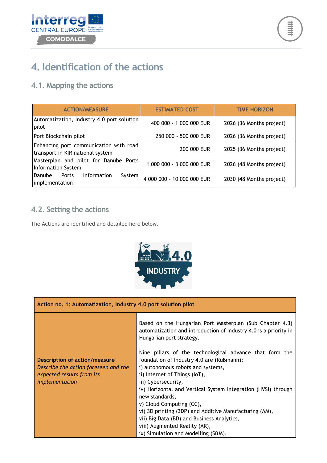



### <span id="page-9-0"></span>**4. Identification of the actions**

### <span id="page-9-1"></span>**4.1. Mapping the actions**

| <b>ACTION/MEASURE</b>                                                      | <b>ESTIMATED COST</b>      | <b>TIME HORIZON</b>      |
|----------------------------------------------------------------------------|----------------------------|--------------------------|
| Automatization, Industry 4.0 port solution<br>pilot                        | 400 000 - 1 000 000 EUR    | 2026 (36 Months project) |
| Port Blockchain pilot                                                      | 250 000 - 500 000 EUR      | 2026 (36 Months project) |
| Enhancing port communication with road<br>transport in KIR national system | 200 000 EUR                | 2025 (36 Months project) |
| Masterplan and pilot for Danube Ports<br><b>Information System</b>         | 1 000 000 - 3 000 000 EUR  | 2026 (48 Months project) |
| Information<br>Ports<br>Danube<br>System<br>implementation                 | 4 000 000 - 10 000 000 EUR | 2030 (48 Months project) |

### <span id="page-9-2"></span>**4.2. Setting the actions**

The Actions are identified and detailed here below.



| Action no. 1: Automatization, Industry 4.0 port solution pilot                                                              |                                                                                                                                                                                                                                                                                                                                                                                                                                                                                                  |
|-----------------------------------------------------------------------------------------------------------------------------|--------------------------------------------------------------------------------------------------------------------------------------------------------------------------------------------------------------------------------------------------------------------------------------------------------------------------------------------------------------------------------------------------------------------------------------------------------------------------------------------------|
|                                                                                                                             | Based on the Hungarian Port Masterplan (Sub Chapter 4.3)<br>automatization and introduction of Industry 4.0 is a priority in<br>Hungarian port strategy.                                                                                                                                                                                                                                                                                                                                         |
| <b>Description of action/measure</b><br>Describe the action foreseen and the<br>expected results from its<br>implementation | Nine pillars of the technological advance that form the<br>foundation of Industry 4.0 are (Rüßmann):<br>i) autonomous robots and systems,<br>ii) Internet of Things (IoT),<br>iii) Cybersecurity,<br>iv) Horizontal and Vertical System Integration (HVSI) through<br>new standards,<br>v) Cloud Computing (CC),<br>vi) 3D printing (3DP) and Additive Manufacturing (AM),<br>vii) Big Data (BD) and Business Analytics,<br>viii) Augmented Reality (AR),<br>ix) Simulation and Modelling (S&M). |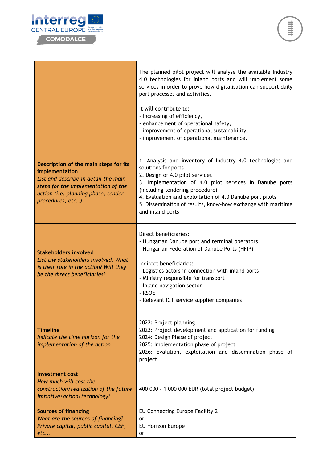

|                                                                                                                                                                                                   | The planned pilot project will analyse the available Industry<br>4.0 technologies for inland ports and will implement some<br>services in order to prove how digitalisation can support daily<br>port processes and activities.<br>It will contribute to:<br>- increasing of efficiency,<br>- enhancement of operational safety,<br>- improvement of operational sustainability,<br>- improvement of operational maintenance. |
|---------------------------------------------------------------------------------------------------------------------------------------------------------------------------------------------------|-------------------------------------------------------------------------------------------------------------------------------------------------------------------------------------------------------------------------------------------------------------------------------------------------------------------------------------------------------------------------------------------------------------------------------|
| Description of the main steps for its<br>implementation<br>List and describe in detail the main<br>steps for the implementation of the<br>action (i.e. planning phase, tender<br>procedures, etc) | 1. Analysis and inventory of Industry 4.0 technologies and<br>solutions for ports<br>2. Design of 4.0 pilot services<br>3. Implementation of 4.0 pilot services in Danube ports<br>(including tendering procedure)<br>4. Evaluation and exploitation of 4.0 Danube port pilots<br>5. Dissemination of results, know-how exchange with maritime<br>and inland ports                                                            |
| <b>Stakeholders involved</b><br>List the stakeholders involved. What<br>is their role in the action? Will they<br>be the direct beneficiaries?                                                    | Direct beneficiaries:<br>- Hungarian Danube port and terminal operators<br>- Hungarian Federation of Danube Ports (HFIP)<br>Indirect beneficiaries:<br>- Logistics actors in connection with inland ports<br>- Ministry responsible for transport<br>- Inland navigation sector<br>- RSOE<br>- Relevant ICT service supplier companies                                                                                        |
| <b>Timeline</b><br>Indicate the time horizon for the<br>implementation of the action                                                                                                              | 2022: Project planning<br>2023: Project development and application for funding<br>2024: Design Phase of project<br>2025: Implementation phase of project<br>2026: Evalution, exploitation and dissemination phase of<br>project                                                                                                                                                                                              |
| <b>Investment cost</b><br>How much will cost the<br>construction/realization of the future<br>initiative/action/technology?                                                                       | 400 000 - 1 000 000 EUR (total project budget)                                                                                                                                                                                                                                                                                                                                                                                |
| <b>Sources of financing</b><br>What are the sources of financing?<br>Private capital, public capital, CEF,<br>etc                                                                                 | EU Connecting Europe Facility 2<br>or<br><b>EU Horizon Europe</b><br>or                                                                                                                                                                                                                                                                                                                                                       |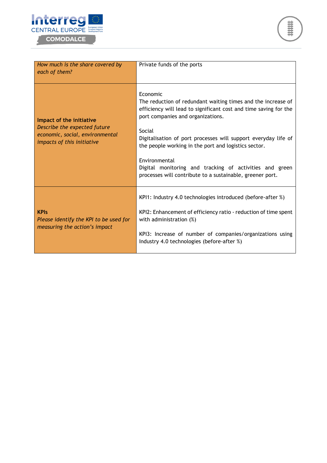



| How much is the share covered by<br>each of them?                                                                         | Private funds of the ports                                                                                                                                                                                                                                                                                                                                                                                                                                     |
|---------------------------------------------------------------------------------------------------------------------------|----------------------------------------------------------------------------------------------------------------------------------------------------------------------------------------------------------------------------------------------------------------------------------------------------------------------------------------------------------------------------------------------------------------------------------------------------------------|
| Impact of the initiative<br>Describe the expected future<br>economic, social, environmental<br>impacts of this initiative | Economic<br>The reduction of redundant waiting times and the increase of<br>efficiency will lead to significant cost and time saving for the<br>port companies and organizations.<br>Social<br>Digitalisation of port processes will support everyday life of<br>the people working in the port and logistics sector.<br>Environmental<br>Digital monitoring and tracking of activities and green<br>processes will contribute to a sustainable, greener port. |
| <b>KPIs</b><br>Please identify the KPI to be used for<br>measuring the action's impact                                    | KPI1: Industry 4.0 technologies introduced (before-after %)<br>KPI2: Enhancement of efficiency ratio - reduction of time spent<br>with administration (%)<br>KPI3: Increase of number of companies/organizations using<br>Industry 4.0 technologies (before-after %)                                                                                                                                                                                           |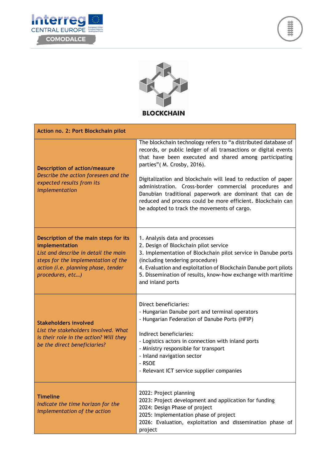





| Action no. 2: Port Blockchain pilot                                                                                                                                                               |                                                                                                                                                                                                                                                                                                                                                                                                                                                                                                                                |
|---------------------------------------------------------------------------------------------------------------------------------------------------------------------------------------------------|--------------------------------------------------------------------------------------------------------------------------------------------------------------------------------------------------------------------------------------------------------------------------------------------------------------------------------------------------------------------------------------------------------------------------------------------------------------------------------------------------------------------------------|
| <b>Description of action/measure</b><br>Describe the action foreseen and the<br>expected results from its<br>implementation                                                                       | The blockchain technology refers to "a distributed database of<br>records, or public ledger of all transactions or digital events<br>that have been executed and shared among participating<br>parties" (M. Crosby, 2016).<br>Digitalization and blockchain will lead to reduction of paper<br>administration. Cross-border commercial procedures and<br>Danubian traditional paperwork are dominant that can de<br>reduced and process could be more efficient. Blockchain can<br>be adopted to track the movements of cargo. |
| Description of the main steps for its<br>implementation<br>List and describe in detail the main<br>steps for the implementation of the<br>action (i.e. planning phase, tender<br>procedures, etc) | 1. Analysis data and processes<br>2. Design of Blockchain pilot service<br>3. Implementation of Blockchain pilot service in Danube ports<br>(including tendering procedure)<br>4. Evaluation and exploitation of Blockchain Danube port pilots<br>5. Dissemination of results, know-how exchange with maritime<br>and inland ports                                                                                                                                                                                             |
| <b>Stakeholders involved</b><br>List the stakeholders involved. What<br>is their role in the action? Will they<br>be the direct beneficiaries?                                                    | Direct beneficiaries:<br>- Hungarian Danube port and terminal operators<br>- Hungarian Federation of Danube Ports (HFIP)<br>Indirect beneficiaries:<br>- Logistics actors in connection with inland ports<br>- Ministry responsible for transport<br>- Inland navigation sector<br>- RSOE<br>- Relevant ICT service supplier companies                                                                                                                                                                                         |
| <b>Timeline</b><br>Indicate the time horizon for the<br>implementation of the action                                                                                                              | 2022: Project planning<br>2023: Project development and application for funding<br>2024: Design Phase of project<br>2025: Implementation phase of project<br>2026: Evaluation, exploitation and dissemination phase of<br>project                                                                                                                                                                                                                                                                                              |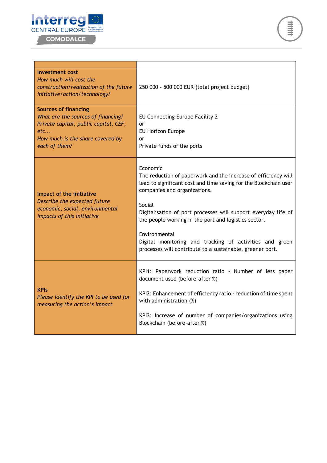



| <b>Investment cost</b><br>How much will cost the<br>construction/realization of the future<br>initiative/action/technology?                                            | 250 000 - 500 000 EUR (total project budget)                                                                                                                                                                                                                                                                                                                                                                                                                |
|------------------------------------------------------------------------------------------------------------------------------------------------------------------------|-------------------------------------------------------------------------------------------------------------------------------------------------------------------------------------------------------------------------------------------------------------------------------------------------------------------------------------------------------------------------------------------------------------------------------------------------------------|
| <b>Sources of financing</b><br>What are the sources of financing?<br>Private capital, public capital, CEF,<br>etc<br>How much is the share covered by<br>each of them? | EU Connecting Europe Facility 2<br>or<br>EU Horizon Europe<br>or<br>Private funds of the ports                                                                                                                                                                                                                                                                                                                                                              |
| Impact of the initiative<br>Describe the expected future<br>economic, social, environmental<br>impacts of this initiative                                              | Economic<br>The reduction of paperwork and the increase of efficiency will<br>lead to significant cost and time saving for the Blockchain user<br>companies and organizations.<br>Social<br>Digitalisation of port processes will support everyday life of<br>the people working in the port and logistics sector.<br>Environmental<br>Digital monitoring and tracking of activities and green<br>processes will contribute to a sustainable, greener port. |
| <b>KPIs</b><br>Please identify the KPI to be used for<br>measuring the action's impact                                                                                 | KPI1: Paperwork reduction ratio - Number of less paper<br>document used (before-after %)<br>KPI2: Enhancement of efficiency ratio - reduction of time spent<br>with administration (%)<br>KPI3: Increase of number of companies/organizations using<br>Blockchain (before-after %)                                                                                                                                                                          |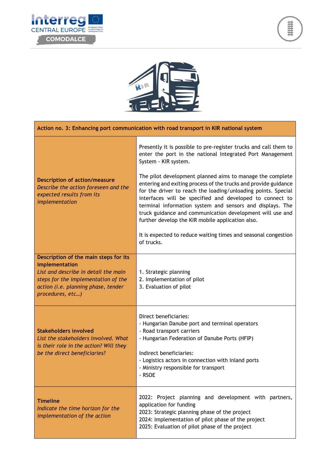





| Action no. 3: Enhancing port communication with road transport in KIR national system                                                                                                             |                                                                                                                                                                                                                                                                                                                                                                                                                                                                                                                                                                                                                                                                                  |
|---------------------------------------------------------------------------------------------------------------------------------------------------------------------------------------------------|----------------------------------------------------------------------------------------------------------------------------------------------------------------------------------------------------------------------------------------------------------------------------------------------------------------------------------------------------------------------------------------------------------------------------------------------------------------------------------------------------------------------------------------------------------------------------------------------------------------------------------------------------------------------------------|
| <b>Description of action/measure</b><br>Describe the action foreseen and the<br>expected results from its<br>implementation                                                                       | Presently it is possible to pre-register trucks and call them to<br>enter the port in the national Integrated Port Management<br>System - KIR system.<br>The pilot development planned aims to manage the complete<br>entering and exiting process of the trucks and provide guidance<br>for the driver to reach the loading/unloading points. Special<br>interfaces will be specified and developed to connect to<br>terminal information system and sensors and displays. The<br>truck guidance and communication development will use and<br>further develop the KIR mobile application also.<br>It is expected to reduce waiting times and seasonal congestion<br>of trucks. |
| Description of the main steps for its<br>implementation<br>List and describe in detail the main<br>steps for the implementation of the<br>action (i.e. planning phase, tender<br>procedures, etc) | 1. Strategic planning<br>2. Implementation of pilot<br>3. Evaluation of pilot                                                                                                                                                                                                                                                                                                                                                                                                                                                                                                                                                                                                    |
| <b>Stakeholders involved</b><br>List the stakeholders involved. What<br>is their role in the action? Will they<br>be the direct beneficiaries?                                                    | Direct beneficiaries:<br>- Hungarian Danube port and terminal operators<br>- Road transport carriers<br>- Hungarian Federation of Danube Ports (HFIP)<br>Indirect beneficiaries:<br>- Logistics actors in connection with inland ports<br>- Ministry responsible for transport<br>- RSOE                                                                                                                                                                                                                                                                                                                                                                                         |
| <b>Timeline</b><br>Indicate the time horizon for the<br>implementation of the action                                                                                                              | 2022: Project planning and development with partners,<br>application for funding<br>2023: Strategic planning phase of the project<br>2024: Implementation of pilot phase of the project<br>2025: Evaluation of pilot phase of the project                                                                                                                                                                                                                                                                                                                                                                                                                                        |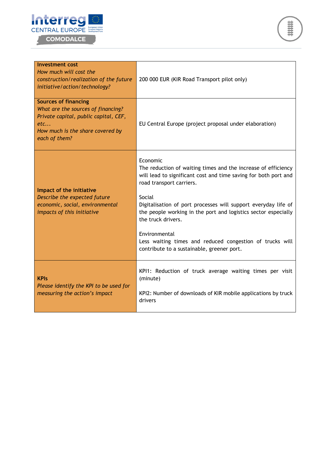



| <b>Investment cost</b><br>How much will cost the<br>construction/realization of the future<br>initiative/action/technology?                                            | 200 000 EUR (KIR Road Transport pilot only)                                                                                                                                                                                                                                                                                                                                                                                                                             |
|------------------------------------------------------------------------------------------------------------------------------------------------------------------------|-------------------------------------------------------------------------------------------------------------------------------------------------------------------------------------------------------------------------------------------------------------------------------------------------------------------------------------------------------------------------------------------------------------------------------------------------------------------------|
| <b>Sources of financing</b><br>What are the sources of financing?<br>Private capital, public capital, CEF,<br>etc<br>How much is the share covered by<br>each of them? | EU Central Europe (project proposal under elaboration)                                                                                                                                                                                                                                                                                                                                                                                                                  |
| Impact of the initiative<br>Describe the expected future<br>economic, social, environmental<br>impacts of this initiative                                              | Economic<br>The reduction of waiting times and the increase of efficiency<br>will lead to significant cost and time saving for both port and<br>road transport carriers.<br>Social<br>Digitalisation of port processes will support everyday life of<br>the people working in the port and logistics sector especially<br>the truck drivers.<br>Environmental<br>Less waiting times and reduced congestion of trucks will<br>contribute to a sustainable, greener port. |
| <b>KPIs</b><br>Please identify the KPI to be used for<br>measuring the action's impact                                                                                 | KPI1: Reduction of truck average waiting times per visit<br>(minute)<br>KPI2: Number of downloads of KIR mobile applications by truck<br>drivers                                                                                                                                                                                                                                                                                                                        |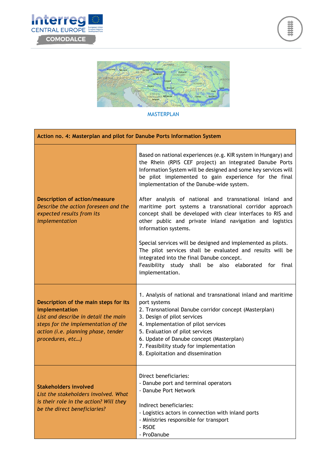





#### MASTERPLAN

| Action no. 4: Masterplan and pilot for Danube Ports Information System                                                                                                                            |                                                                                                                                                                                                                                                                                                                                                                             |
|---------------------------------------------------------------------------------------------------------------------------------------------------------------------------------------------------|-----------------------------------------------------------------------------------------------------------------------------------------------------------------------------------------------------------------------------------------------------------------------------------------------------------------------------------------------------------------------------|
| <b>Description of action/measure</b><br>Describe the action foreseen and the<br>expected results from its<br>implementation                                                                       | Based on national experiences (e.g. KIR system in Hungary) and<br>the Rhein (RPIS CEF project) an integrated Danube Ports<br>Information System will be designed and some key services will<br>be pilot implemented to gain experience for the final<br>implementation of the Danube-wide system.                                                                           |
|                                                                                                                                                                                                   | After analysis of national and transnational inland and<br>maritime port systems a transnational corridor approach<br>concept shall be developed with clear interfaces to RIS and<br>other public and private inland navigation and logistics<br>information systems.                                                                                                       |
|                                                                                                                                                                                                   | Special services will be designed and implemented as pilots.<br>The pilot services shall be evaluated and results will be<br>integrated into the final Danube concept.<br>Feasibility study shall be also elaborated for final<br>implementation.                                                                                                                           |
| Description of the main steps for its<br>implementation<br>List and describe in detail the main<br>steps for the implementation of the<br>action (i.e. planning phase, tender<br>procedures, etc) | 1. Analysis of national and transnational inland and maritime<br>port systems<br>2. Transnational Danube corridor concept (Masterplan)<br>3. Design of pilot services<br>4. Implementation of pilot services<br>5. Evaluation of pilot services<br>6. Update of Danube concept (Masterplan)<br>7. Feasibility study for implementation<br>8. Exploitation and dissemination |
| <b>Stakeholders involved</b><br>List the stakeholders involved. What<br>is their role in the action? Will they<br>be the direct beneficiaries?                                                    | Direct beneficiaries:<br>- Danube port and terminal operators<br>- Danube Port Network<br>Indirect beneficiaries:<br>- Logistics actors in connection with inland ports<br>- Ministries responsible for transport<br>- RSOE<br>- ProDanube                                                                                                                                  |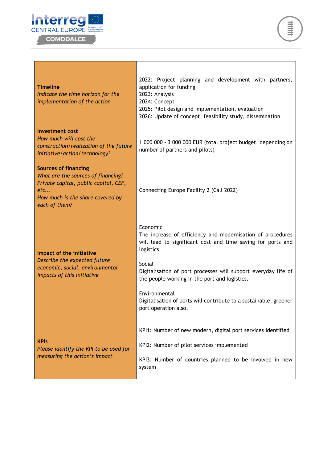



| <b>Timeline</b><br>Indicate the time horizon for the<br>implementation of the action                                                                                   | 2022: Project planning and development with partners,<br>application for funding<br>2023: Analysis<br>2024: Concept<br>2025: Pilot design and implementation, evaluation<br>2026: Update of concept, feasibility study, dissemination                                                                                                                                                          |
|------------------------------------------------------------------------------------------------------------------------------------------------------------------------|------------------------------------------------------------------------------------------------------------------------------------------------------------------------------------------------------------------------------------------------------------------------------------------------------------------------------------------------------------------------------------------------|
| <b>Investment cost</b><br>How much will cost the<br>construction/realization of the future<br>initiative/action/technology?                                            | 1 000 000 - 3 000 000 EUR (total project budget, depending on<br>number of partners and pilots)                                                                                                                                                                                                                                                                                                |
| <b>Sources of financing</b><br>What are the sources of financing?<br>Private capital, public capital, CEF,<br>etc<br>How much is the share covered by<br>each of them? | Connecting Europe Facility 2 (Call 2022)                                                                                                                                                                                                                                                                                                                                                       |
| Impact of the initiative<br>Describe the expected future<br>economic, social, environmental<br>impacts of this initiative                                              | Economic<br>The increase of efficiency and modernisation of procedures<br>will lead to significant cost and time saving for ports and<br>logistics.<br>Social<br>Digitalisation of port processes will support everyday life of<br>the people working in the port and logistics.<br>Environmental<br>Digitalisation of ports will contribute to a sustainable, greener<br>port operation also. |
| <b>KPIs</b><br>Please identify the KPI to be used for<br>measuring the action's impact                                                                                 | KPI1: Number of new modern, digital port services identified<br>KPI2: Number of pilot services implemented<br>KPI3: Number of countries planned to be involved in new<br>system                                                                                                                                                                                                                |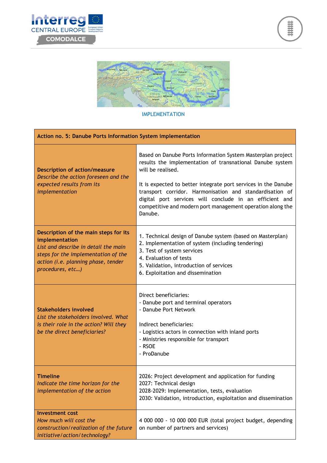





#### IMPLEMENTATION

| Action no. 5: Danube Ports Information System implementation                                                                                                                                      |                                                                                                                                                                                                                                                                                                                                                                                                                 |
|---------------------------------------------------------------------------------------------------------------------------------------------------------------------------------------------------|-----------------------------------------------------------------------------------------------------------------------------------------------------------------------------------------------------------------------------------------------------------------------------------------------------------------------------------------------------------------------------------------------------------------|
| <b>Description of action/measure</b><br>Describe the action foreseen and the<br>expected results from its<br>implementation                                                                       | Based on Danube Ports Information System Masterplan project<br>results the implementation of transnational Danube system<br>will be realised.<br>It is expected to better integrate port services in the Danube<br>transport corridor. Harmonisation and standardisation of<br>digital port services will conclude in an efficient and<br>competitive and modern port management operation along the<br>Danube. |
| Description of the main steps for its<br>implementation<br>List and describe in detail the main<br>steps for the implementation of the<br>action (i.e. planning phase, tender<br>procedures, etc) | 1. Technical design of Danube system (based on Masterplan)<br>2. Implementation of system (including tendering)<br>3. Test of system services<br>4. Evaluation of tests<br>5. Validation, introduction of services<br>6. Exploitation and dissemination                                                                                                                                                         |
| <b>Stakeholders involved</b><br>List the stakeholders involved. What<br>is their role in the action? Will they<br>be the direct beneficiaries?                                                    | Direct beneficiaries:<br>- Danube port and terminal operators<br>- Danube Port Network<br>Indirect beneficiaries:<br>- Logistics actors in connection with inland ports<br>- Ministries responsible for transport<br>- RSOE<br>- ProDanube                                                                                                                                                                      |
| <b>Timeline</b><br>Indicate the time horizon for the<br>implementation of the action                                                                                                              | 2026: Project development and application for funding<br>2027: Technical design<br>2028-2029: Implementation, tests, evaluation<br>2030: Validation, introduction, exploitation and dissemination                                                                                                                                                                                                               |
| <b>Investment cost</b><br>How much will cost the<br>construction/realization of the future<br>initiative/action/technology?                                                                       | 4 000 000 - 10 000 000 EUR (total project budget, depending<br>on number of partners and services)                                                                                                                                                                                                                                                                                                              |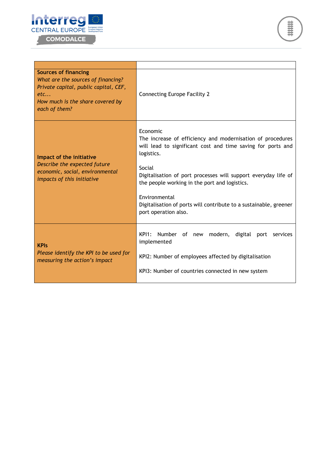



| <b>Sources of financing</b><br>What are the sources of financing?<br>Private capital, public capital, CEF,<br>etc<br>How much is the share covered by<br>each of them? | <b>Connecting Europe Facility 2</b>                                                                                                                                                                                                                                                                                                                                                            |
|------------------------------------------------------------------------------------------------------------------------------------------------------------------------|------------------------------------------------------------------------------------------------------------------------------------------------------------------------------------------------------------------------------------------------------------------------------------------------------------------------------------------------------------------------------------------------|
| Impact of the initiative<br>Describe the expected future<br>economic, social, environmental<br>impacts of this initiative                                              | Economic<br>The increase of efficiency and modernisation of procedures<br>will lead to significant cost and time saving for ports and<br>logistics.<br>Social<br>Digitalisation of port processes will support everyday life of<br>the people working in the port and logistics.<br>Environmental<br>Digitalisation of ports will contribute to a sustainable, greener<br>port operation also. |
| <b>KPIS</b><br>Please identify the KPI to be used for<br>measuring the action's impact                                                                                 | $KP11$ :<br>Number of new<br>modern, digital port<br>services<br>implemented<br>KPI2: Number of employees affected by digitalisation<br>KPI3: Number of countries connected in new system                                                                                                                                                                                                      |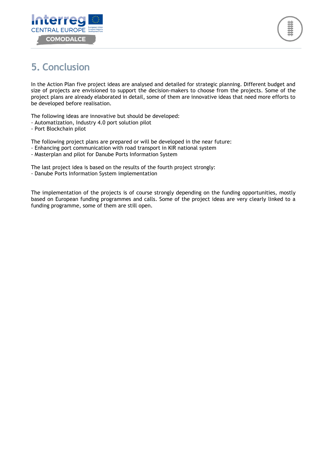



# <span id="page-20-0"></span>**5. Conclusion**

In the Action Plan five project ideas are analysed and detailed for strategic planning. Different budget and size of projects are envisioned to support the decision-makers to choose from the projects. Some of the project plans are already elaborated in detail, some of them are innovative ideas that need more efforts to be developed before realisation.

The following ideas are innovative but should be developed:

- Automatization, Industry 4.0 port solution pilot
- Port Blockchain pilot

The following project plans are prepared or will be developed in the near future:

- Enhancing port communication with road transport in KIR national system
- Masterplan and pilot for Danube Ports Information System

The last project idea is based on the results of the fourth project strongly:

- Danube Ports Information System implementation

The implementation of the projects is of course strongly depending on the funding opportunities, mostly based on European funding programmes and calls. Some of the project ideas are very clearly linked to a funding programme, some of them are still open.